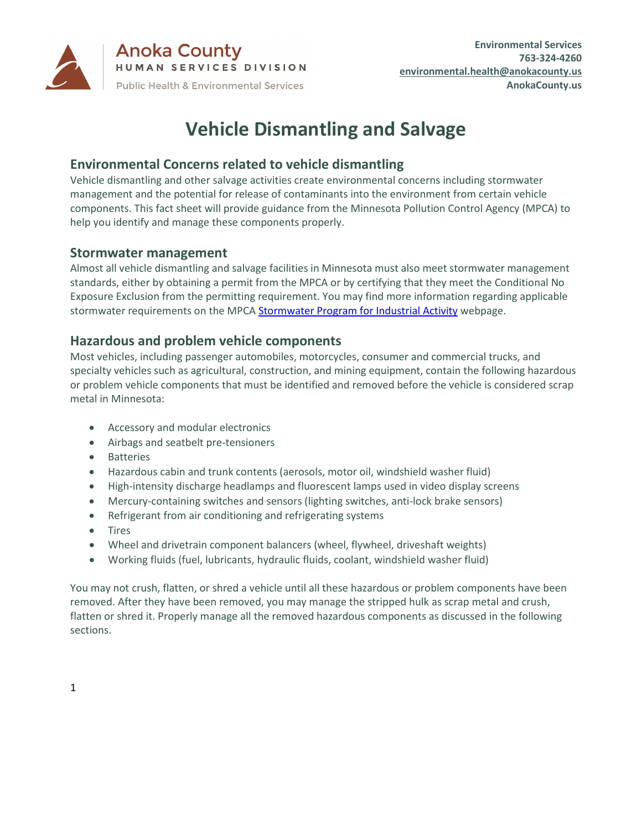

**Anoka County** HUMAN SERVICES DIVISION **Public Health & Environmental Services** 

# **Vehicle Dismantling and Salvage**

# **Environmental Concerns related to vehicle dismantling**

Vehicle dismantling and other salvage activities create environmental concerns including stormwater management and the potential for release of contaminants into the environment from certain vehicle components. This fact sheet will provide guidance from the Minnesota Pollution Control Agency (MPCA) to help you identify and manage these components properly.

#### **Stormwater management**

Almost all vehicle dismantling and salvage facilities in Minnesota must also meet stormwater management standards, either by obtaining a permit from the MPCA or by certifying that they meet the Conditional No Exposure Exclusion from the permitting requirement. You may find more information regarding applicable stormwater requirements on the MPC[A Stormwater Program for Industrial Activity](https://www.pca.state.mn.us/water/industrial-stormwater) webpage.

#### **Hazardous and problem vehicle components**

Most vehicles, including passenger automobiles, motorcycles, consumer and commercial trucks, and specialty vehicles such as agricultural, construction, and mining equipment, contain the following hazardous or problem vehicle components that must be identified and removed before the vehicle is considered scrap metal in Minnesota:

- Accessory and modular electronics
- Airbags and seatbelt pre-tensioners
- Batteries
- Hazardous cabin and trunk contents (aerosols, motor oil, windshield washer fluid)
- High-intensity discharge headlamps and fluorescent lamps used in video display screens
- Mercury-containing switches and sensors (lighting switches, anti-lock brake sensors)
- Refrigerant from air conditioning and refrigerating systems
- Tires
- Wheel and drivetrain component balancers (wheel, flywheel, driveshaft weights)
- Working fluids (fuel, lubricants, hydraulic fluids, coolant, windshield washer fluid)

You may not crush, flatten, or shred a vehicle until all these hazardous or problem components have been removed. After they have been removed, you may manage the stripped hulk as scrap metal and crush, flatten or shred it. Properly manage all the removed hazardous components as discussed in the following sections.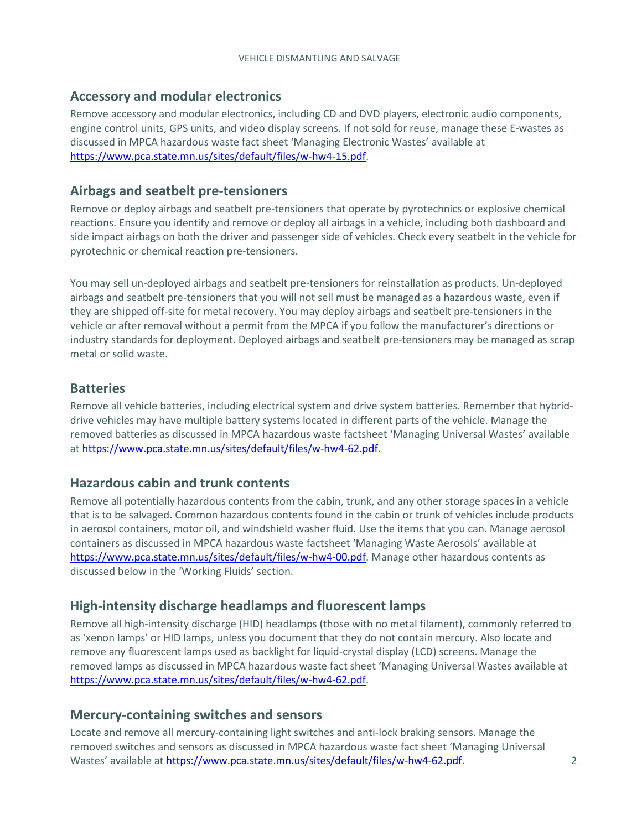#### **Accessory and modular electronics**

Remove accessory and modular electronics, including CD and DVD players, electronic audio components, engine control units, GPS units, and video display screens. If not sold for reuse, manage these E-wastes as discussed in MPCA hazardous waste fact sheet 'Managing Electronic Wastes' available at [https://www.pca.state.mn.us/sites/default/files/w-hw4-15.pdf.](https://www.pca.state.mn.us/sites/default/files/w-hw4-15.pdf)

#### **Airbags and seatbelt pre-tensioners**

Remove or deploy airbags and seatbelt pre-tensioners that operate by pyrotechnics or explosive chemical reactions. Ensure you identify and remove or deploy all airbags in a vehicle, including both dashboard and side impact airbags on both the driver and passenger side of vehicles. Check every seatbelt in the vehicle for pyrotechnic or chemical reaction pre-tensioners.

You may sell un-deployed airbags and seatbelt pre-tensioners for reinstallation as products. Un-deployed airbags and seatbelt pre-tensioners that you will not sell must be managed as a hazardous waste, even if they are shipped off-site for metal recovery. You may deploy airbags and seatbelt pre-tensioners in the vehicle or after removal without a permit from the MPCA if you follow the manufacturer's directions or industry standards for deployment. Deployed airbags and seatbelt pre-tensioners may be managed as scrap metal or solid waste.

#### **Batteries**

Remove all vehicle batteries, including electrical system and drive system batteries. Remember that hybriddrive vehicles may have multiple battery systems located in different parts of the vehicle. Manage the removed batteries as discussed in MPCA hazardous waste factsheet 'Managing Universal Wastes' available at [https://www.pca.state.mn.us/sites/default/files/w-hw4-62.pdf.](https://www.pca.state.mn.us/sites/default/files/w-hw4-62.pdf)

#### **Hazardous cabin and trunk contents**

Remove all potentially hazardous contents from the cabin, trunk, and any other storage spaces in a vehicle that is to be salvaged. Common hazardous contents found in the cabin or trunk of vehicles include products in aerosol containers, motor oil, and windshield washer fluid. Use the items that you can. Manage aerosol containers as discussed in MPCA hazardous waste factsheet 'Managing Waste Aerosols' available at [https://www.pca.state.mn.us/sites/default/files/w-hw4-00.pdf.](https://www.pca.state.mn.us/sites/default/files/w-hw4-00.pdf) Manage other hazardous contents as discussed below in the 'Working Fluids' section.

#### **High-intensity discharge headlamps and fluorescent lamps**

Remove all high-intensity discharge (HID) headlamps (those with no metal filament), commonly referred to as 'xenon lamps' or HID lamps, unless you document that they do not contain mercury. Also locate and remove any fluorescent lamps used as backlight for liquid-crystal display (LCD) screens. Manage the removed lamps as discussed in MPCA hazardous waste fact sheet 'Managing Universal Wastes available at [https://www.pca.state.mn.us/sites/default/files/w-hw4-62.pdf.](https://www.pca.state.mn.us/sites/default/files/w-hw4-62.pdf)

#### **Mercury-containing switches and sensors**

Locate and remove all mercury-containing light switches and anti-lock braking sensors. Manage the removed switches and sensors as discussed in MPCA hazardous waste fact sheet 'Managing Universal Wastes' available a[t https://www.pca.state.mn.us/sites/default/files/w-hw4-62.pdf.](https://www.pca.state.mn.us/sites/default/files/w-hw4-62.pdf) 2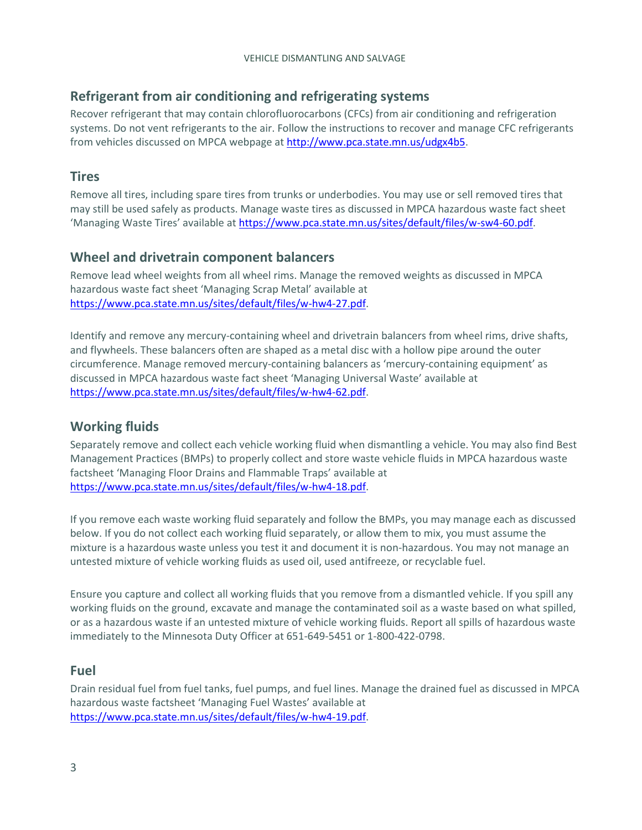# **Refrigerant from air conditioning and refrigerating systems**

Recover refrigerant that may contain chlorofluorocarbons (CFCs) from air conditioning and refrigeration systems. Do not vent refrigerants to the air. Follow the instructions to recover and manage CFC refrigerants from vehicles discussed on MPCA webpage a[t http://www.pca.state.mn.us/udgx4b5.](http://www.pca.state.mn.us/udgx4b5)

#### **Tires**

Remove all tires, including spare tires from trunks or underbodies. You may use or sell removed tires that may still be used safely as products. Manage waste tires as discussed in MPCA hazardous waste fact sheet 'Managing Waste Tires' available at [https://www.pca.state.mn.us/sites/default/files/w-sw4-60.pdf.](https://www.pca.state.mn.us/sites/default/files/w-sw4-60.pdf)

# **Wheel and drivetrain component balancers**

Remove lead wheel weights from all wheel rims. Manage the removed weights as discussed in MPCA hazardous waste fact sheet 'Managing Scrap Metal' available at [https://www.pca.state.mn.us/sites/default/files/w-hw4-27.pdf.](https://www.pca.state.mn.us/sites/default/files/w-hw4-27.pdf)

Identify and remove any mercury-containing wheel and drivetrain balancers from wheel rims, drive shafts, and flywheels. These balancers often are shaped as a metal disc with a hollow pipe around the outer circumference. Manage removed mercury-containing balancers as 'mercury-containing equipment' as discussed in MPCA hazardous waste fact sheet 'Managing Universal Waste' available at [https://www.pca.state.mn.us/sites/default/files/w-hw4-62.pdf.](https://www.pca.state.mn.us/sites/default/files/w-hw4-62.pdf)

# **Working fluids**

Separately remove and collect each vehicle working fluid when dismantling a vehicle. You may also find Best Management Practices (BMPs) to properly collect and store waste vehicle fluids in MPCA hazardous waste factsheet 'Managing Floor Drains and Flammable Traps' available at [https://www.pca.state.mn.us/sites/default/files/w-hw4-18.pdf.](https://www.pca.state.mn.us/sites/default/files/w-hw4-18.pdf)

If you remove each waste working fluid separately and follow the BMPs, you may manage each as discussed below. If you do not collect each working fluid separately, or allow them to mix, you must assume the mixture is a hazardous waste unless you test it and document it is non-hazardous. You may not manage an untested mixture of vehicle working fluids as used oil, used antifreeze, or recyclable fuel.

Ensure you capture and collect all working fluids that you remove from a dismantled vehicle. If you spill any working fluids on the ground, excavate and manage the contaminated soil as a waste based on what spilled, or as a hazardous waste if an untested mixture of vehicle working fluids. Report all spills of hazardous waste immediately to the Minnesota Duty Officer at 651-649-5451 or 1-800-422-0798.

#### **Fuel**

Drain residual fuel from fuel tanks, fuel pumps, and fuel lines. Manage the drained fuel as discussed in MPCA hazardous waste factsheet 'Managing Fuel Wastes' available at [https://www.pca.state.mn.us/sites/default/files/w-hw4-19.pdf.](https://www.pca.state.mn.us/sites/default/files/w-hw4-19.pdf)